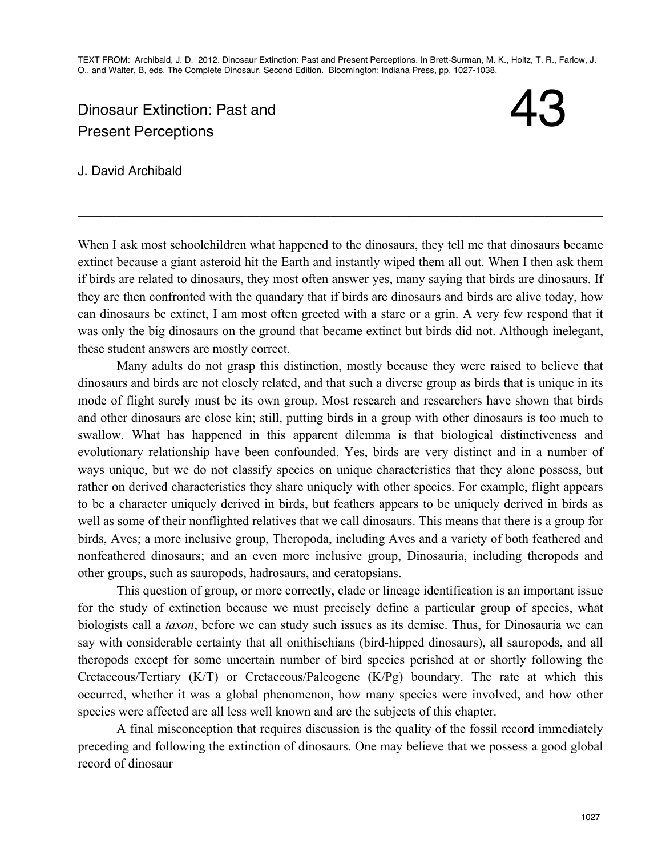TEXT FROM: Archibald, J. D. 2012. Dinosaur Extinction: Past and Present Perceptions. In Brett-Surman, M. K., Holtz, T. R., Farlow, J. O., and Walter, B, eds. The Complete Dinosaur, Second Edition. Bloomington: Indiana Press, pp. 1027-1038.

# Dinosaur Extinction: Past and Present Perceptions

4.3

J. David Archibald

When I ask most schoolchildren what happened to the dinosaurs, they tell me that dinosaurs became extinct because a giant asteroid hit the Earth and instantly wiped them all out. When I then ask them if birds are related to dinosaurs, they most often answer yes, many saying that birds are dinosaurs. If they are then confronted with the quandary that if birds are dinosaurs and birds are alive today, how can dinosaurs be extinct, I am most often greeted with a stare or a grin. A very few respond that it was only the big dinosaurs on the ground that became extinct but birds did not. Although inelegant, these student answers are mostly correct.

 $\mathcal{L}_\mathcal{L} = \{ \mathcal{L}_\mathcal{L} = \{ \mathcal{L}_\mathcal{L} = \{ \mathcal{L}_\mathcal{L} = \{ \mathcal{L}_\mathcal{L} = \{ \mathcal{L}_\mathcal{L} = \{ \mathcal{L}_\mathcal{L} = \{ \mathcal{L}_\mathcal{L} = \{ \mathcal{L}_\mathcal{L} = \{ \mathcal{L}_\mathcal{L} = \{ \mathcal{L}_\mathcal{L} = \{ \mathcal{L}_\mathcal{L} = \{ \mathcal{L}_\mathcal{L} = \{ \mathcal{L}_\mathcal{L} = \{ \mathcal{L}_\mathcal{$ 

 Many adults do not grasp this distinction, mostly because they were raised to believe that dinosaurs and birds are not closely related, and that such a diverse group as birds that is unique in its mode of flight surely must be its own group. Most research and researchers have shown that birds and other dinosaurs are close kin; still, putting birds in a group with other dinosaurs is too much to swallow. What has happened in this apparent dilemma is that biological distinctiveness and evolutionary relationship have been confounded. Yes, birds are very distinct and in a number of ways unique, but we do not classify species on unique characteristics that they alone possess, but rather on derived characteristics they share uniquely with other species. For example, flight appears to be a character uniquely derived in birds, but feathers appears to be uniquely derived in birds as well as some of their nonflighted relatives that we call dinosaurs. This means that there is a group for birds, Aves; a more inclusive group, Theropoda, including Aves and a variety of both feathered and nonfeathered dinosaurs; and an even more inclusive group, Dinosauria, including theropods and other groups, such as sauropods, hadrosaurs, and ceratopsians.

 This question of group, or more correctly, clade or lineage identification is an important issue for the study of extinction because we must precisely define a particular group of species, what biologists call a *taxon*, before we can study such issues as its demise. Thus, for Dinosauria we can say with considerable certainty that all onithischians (bird-hipped dinosaurs), all sauropods, and all theropods except for some uncertain number of bird species perished at or shortly following the Cretaceous/Tertiary (K/T) or Cretaceous/Paleogene (K/Pg) boundary. The rate at which this occurred, whether it was a global phenomenon, how many species were involved, and how other species were affected are all less well known and are the subjects of this chapter.

 A final misconception that requires discussion is the quality of the fossil record immediately preceding and following the extinction of dinosaurs. One may believe that we possess a good global record of dinosaur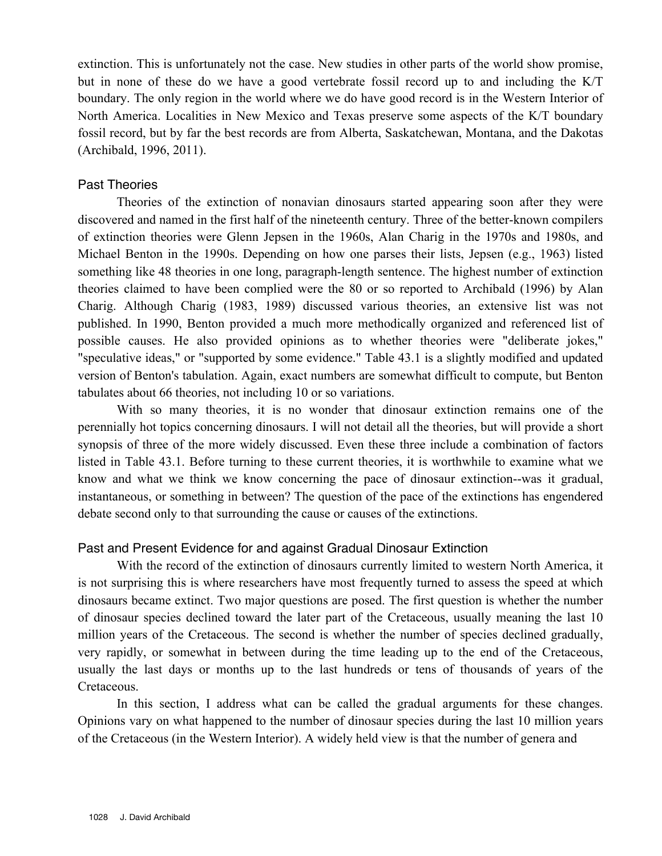extinction. This is unfortunately not the case. New studies in other parts of the world show promise, but in none of these do we have a good vertebrate fossil record up to and including the K/T boundary. The only region in the world where we do have good record is in the Western Interior of North America. Localities in New Mexico and Texas preserve some aspects of the K/T boundary fossil record, but by far the best records are from Alberta, Saskatchewan, Montana, and the Dakotas (Archibald, 1996, 2011).

# Past Theories

 Theories of the extinction of nonavian dinosaurs started appearing soon after they were discovered and named in the first half of the nineteenth century. Three of the better-known compilers of extinction theories were Glenn Jepsen in the 1960s, Alan Charig in the 1970s and 1980s, and Michael Benton in the 1990s. Depending on how one parses their lists, Jepsen (e.g., 1963) listed something like 48 theories in one long, paragraph-length sentence. The highest number of extinction theories claimed to have been complied were the 80 or so reported to Archibald (1996) by Alan Charig. Although Charig (1983, 1989) discussed various theories, an extensive list was not published. In 1990, Benton provided a much more methodically organized and referenced list of possible causes. He also provided opinions as to whether theories were "deliberate jokes," "speculative ideas," or "supported by some evidence." Table 43.1 is a slightly modified and updated version of Benton's tabulation. Again, exact numbers are somewhat difficult to compute, but Benton tabulates about 66 theories, not including 10 or so variations.

 With so many theories, it is no wonder that dinosaur extinction remains one of the perennially hot topics concerning dinosaurs. I will not detail all the theories, but will provide a short synopsis of three of the more widely discussed. Even these three include a combination of factors listed in Table 43.1. Before turning to these current theories, it is worthwhile to examine what we know and what we think we know concerning the pace of dinosaur extinction--was it gradual, instantaneous, or something in between? The question of the pace of the extinctions has engendered debate second only to that surrounding the cause or causes of the extinctions.

# Past and Present Evidence for and against Gradual Dinosaur Extinction

 With the record of the extinction of dinosaurs currently limited to western North America, it is not surprising this is where researchers have most frequently turned to assess the speed at which dinosaurs became extinct. Two major questions are posed. The first question is whether the number of dinosaur species declined toward the later part of the Cretaceous, usually meaning the last 10 million years of the Cretaceous. The second is whether the number of species declined gradually, very rapidly, or somewhat in between during the time leading up to the end of the Cretaceous, usually the last days or months up to the last hundreds or tens of thousands of years of the Cretaceous.

 In this section, I address what can be called the gradual arguments for these changes. Opinions vary on what happened to the number of dinosaur species during the last 10 million years of the Cretaceous (in the Western Interior). A widely held view is that the number of genera and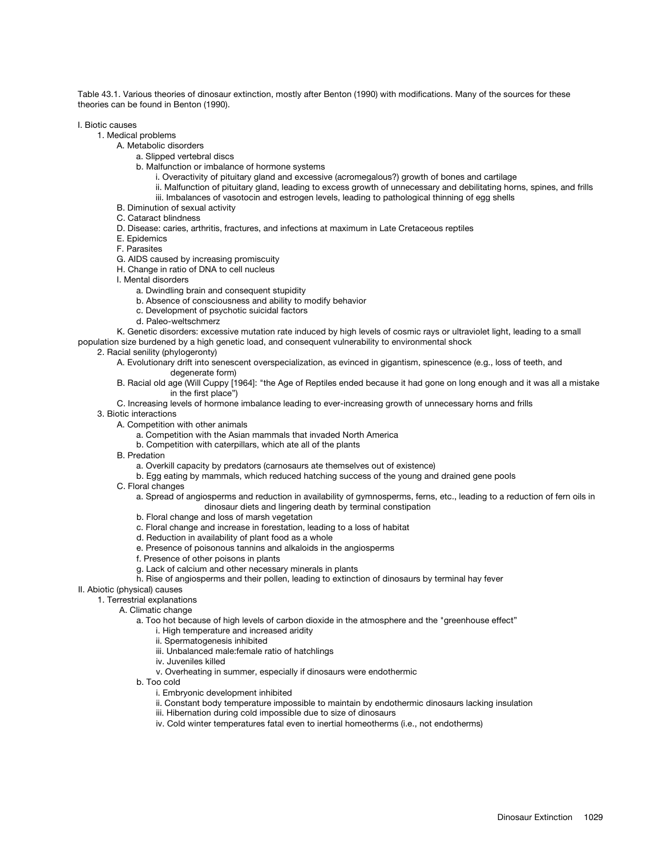Table 43.1. Various theories of dinosaur extinction, mostly after Benton (1990) with modifications. Many of the sources for these theories can be found in Benton (1990).

#### I. Biotic causes

- 1. Medical problems
	- A. Metabolic disorders
		- a. Slipped vertebral discs
			- b. Malfunction or imbalance of hormone systems
				- i. Overactivity of pituitary gland and excessive (acromegalous?) growth of bones and cartilage
				- ii. Malfunction of pituitary gland, leading to excess growth of unnecessary and debilitating horns, spines, and frills
				- iii. Imbalances of vasotocin and estrogen levels, leading to pathological thinning of egg shells
	- B. Diminution of sexual activity
	- C. Cataract blindness
	- D. Disease: caries, arthritis, fractures, and infections at maximum in Late Cretaceous reptiles
	- E. Epidemics
	- F. Parasites
	- G. AIDS caused by increasing promiscuity
	- H. Change in ratio of DNA to cell nucleus
	- I. Mental disorders
		- a. Dwindling brain and consequent stupidity
		- b. Absence of consciousness and ability to modify behavior
		- c. Development of psychotic suicidal factors
		- d. Paleo-weltschmerz

 K. Genetic disorders: excessive mutation rate induced by high levels of cosmic rays or ultraviolet light, leading to a small population size burdened by a high genetic load, and consequent vulnerability to environmental shock

- 2. Racial senility (phylogeronty)
	- A. Evolutionary drift into senescent overspecialization, as evinced in gigantism, spinescence (e.g., loss of teeth, and degenerate form)
	- B. Racial old age (Will Cuppy [1964]: "the Age of Reptiles ended because it had gone on long enough and it was all a mistake in the first place")
	- C. Increasing levels of hormone imbalance leading to ever-increasing growth of unnecessary horns and frills

3. Biotic interactions

- A. Competition with other animals
	- a. Competition with the Asian mammals that invaded North America
	- b. Competition with caterpillars, which ate all of the plants
- B. Predation
	- a. Overkill capacity by predators (carnosaurs ate themselves out of existence)
	- b. Egg eating by mammals, which reduced hatching success of the young and drained gene pools
- C. Floral changes
	- a. Spread of angiosperms and reduction in availability of gymnosperms, ferns, etc., leading to a reduction of fern oils in dinosaur diets and lingering death by terminal constipation
	- b. Floral change and loss of marsh vegetation
	- c. Floral change and increase in forestation, leading to a loss of habitat
	- d. Reduction in availability of plant food as a whole
	- e. Presence of poisonous tannins and alkaloids in the angiosperms
	- f. Presence of other poisons in plants
	- g. Lack of calcium and other necessary minerals in plants
	- h. Rise of angiosperms and their pollen, leading to extinction of dinosaurs by terminal hay fever

#### II. Abiotic (physical) causes

- 1. Terrestrial explanations
	- A. Climatic change
		- a. Too hot because of high levels of carbon dioxide in the atmosphere and the "greenhouse effect"
			- i. High temperature and increased aridity
			- ii. Spermatogenesis inhibited
			- iii. Unbalanced male:female ratio of hatchlings
			- iv. Juveniles killed
			- v. Overheating in summer, especially if dinosaurs were endothermic
		- b. Too cold
			- i. Embryonic development inhibited
			- ii. Constant body temperature impossible to maintain by endothermic dinosaurs lacking insulation
			- iii. Hibernation during cold impossible due to size of dinosaurs
			- iv. Cold winter temperatures fatal even to inertial homeotherms (i.e., not endotherms)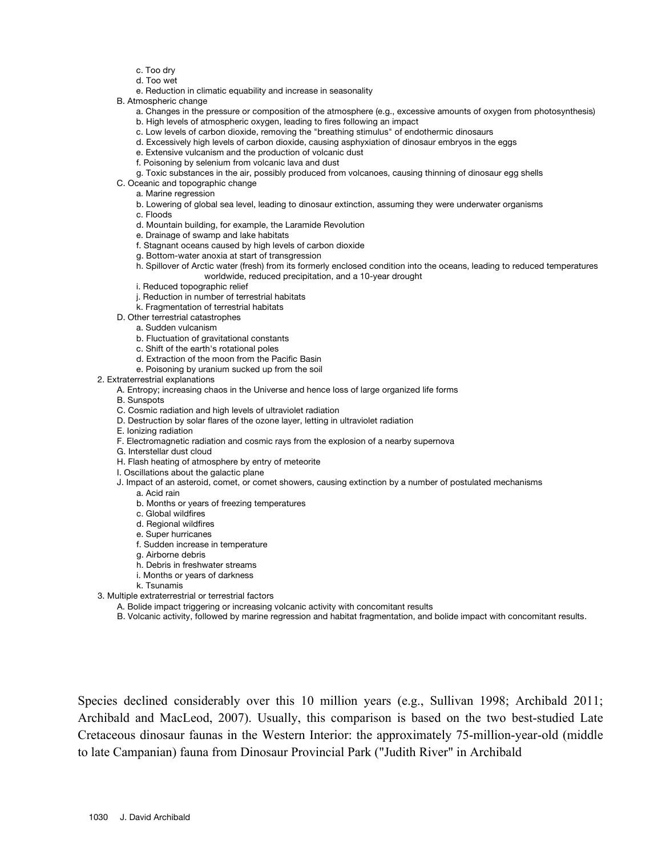- c. Too dry
- d. Too wet

e. Reduction in climatic equability and increase in seasonality

- B. Atmospheric change
	- a. Changes in the pressure or composition of the atmosphere (e.g., excessive amounts of oxygen from photosynthesis)
	- b. High levels of atmospheric oxygen, leading to fires following an impact
	- c. Low levels of carbon dioxide, removing the "breathing stimulus" of endothermic dinosaurs
	- d. Excessively high levels of carbon dioxide, causing asphyxiation of dinosaur embryos in the eggs
	- e. Extensive vulcanism and the production of volcanic dust
	- f. Poisoning by selenium from volcanic lava and dust
	- g. Toxic substances in the air, possibly produced from volcanoes, causing thinning of dinosaur egg shells
- C. Oceanic and topographic change
	- a. Marine regression
	- b. Lowering of global sea level, leading to dinosaur extinction, assuming they were underwater organisms c. Floods
	- d. Mountain building, for example, the Laramide Revolution
	- e. Drainage of swamp and lake habitats
	- f. Stagnant oceans caused by high levels of carbon dioxide
	- g. Bottom-water anoxia at start of transgression
	- h. Spillover of Arctic water (fresh) from its formerly enclosed condition into the oceans, leading to reduced temperatures worldwide, reduced precipitation, and a 10-year drought
	- i. Reduced topographic relief
	- j. Reduction in number of terrestrial habitats
	- k. Fragmentation of terrestrial habitats
- D. Other terrestrial catastrophes
	- a. Sudden vulcanism
	- b. Fluctuation of gravitational constants
	- c. Shift of the earth's rotational poles
	- d. Extraction of the moon from the Pacific Basin
	- e. Poisoning by uranium sucked up from the soil
- 2. Extraterrestrial explanations
	- A. Entropy; increasing chaos in the Universe and hence loss of large organized life forms
	- B. Sunspots
	- C. Cosmic radiation and high levels of ultraviolet radiation
	- D. Destruction by solar flares of the ozone layer, letting in ultraviolet radiation
	- E. Ionizing radiation
	- F. Electromagnetic radiation and cosmic rays from the explosion of a nearby supernova
	- G. Interstellar dust cloud
	- H. Flash heating of atmosphere by entry of meteorite
	- I. Oscillations about the galactic plane
	- J. Impact of an asteroid, comet, or comet showers, causing extinction by a number of postulated mechanisms
		- a. Acid rain
		- b. Months or years of freezing temperatures
		- c. Global wildfires
		- d. Regional wildfires
		- e. Super hurricanes
		- f. Sudden increase in temperature
		- g. Airborne debris
		- h. Debris in freshwater streams
		- i. Months or years of darkness
		- k. Tsunamis

3. Multiple extraterrestrial or terrestrial factors

- A. Bolide impact triggering or increasing volcanic activity with concomitant results
- B. Volcanic activity, followed by marine regression and habitat fragmentation, and bolide impact with concomitant results.

Species declined considerably over this 10 million years (e.g., Sullivan 1998; Archibald 2011; Archibald and MacLeod, 2007). Usually, this comparison is based on the two best-studied Late Cretaceous dinosaur faunas in the Western Interior: the approximately 75-million-year-old (middle to late Campanian) fauna from Dinosaur Provincial Park ("Judith River" in Archibald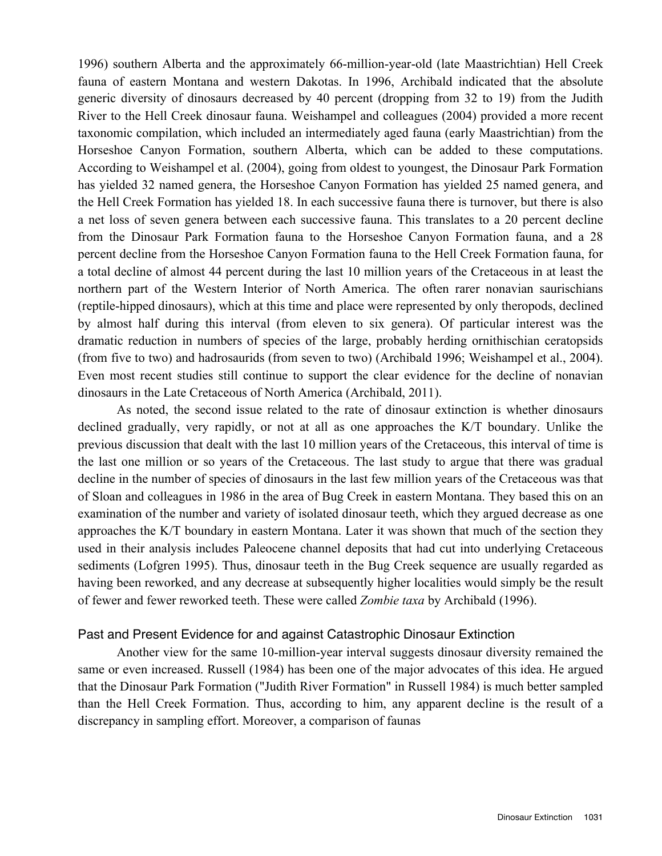1996) southern Alberta and the approximately 66-million-year-old (late Maastrichtian) Hell Creek fauna of eastern Montana and western Dakotas. In 1996, Archibald indicated that the absolute generic diversity of dinosaurs decreased by 40 percent (dropping from 32 to 19) from the Judith River to the Hell Creek dinosaur fauna. Weishampel and colleagues (2004) provided a more recent taxonomic compilation, which included an intermediately aged fauna (early Maastrichtian) from the Horseshoe Canyon Formation, southern Alberta, which can be added to these computations. According to Weishampel et al. (2004), going from oldest to youngest, the Dinosaur Park Formation has yielded 32 named genera, the Horseshoe Canyon Formation has yielded 25 named genera, and the Hell Creek Formation has yielded 18. In each successive fauna there is turnover, but there is also a net loss of seven genera between each successive fauna. This translates to a 20 percent decline from the Dinosaur Park Formation fauna to the Horseshoe Canyon Formation fauna, and a 28 percent decline from the Horseshoe Canyon Formation fauna to the Hell Creek Formation fauna, for a total decline of almost 44 percent during the last 10 million years of the Cretaceous in at least the northern part of the Western Interior of North America. The often rarer nonavian saurischians (reptile-hipped dinosaurs), which at this time and place were represented by only theropods, declined by almost half during this interval (from eleven to six genera). Of particular interest was the dramatic reduction in numbers of species of the large, probably herding ornithischian ceratopsids (from five to two) and hadrosaurids (from seven to two) (Archibald 1996; Weishampel et al., 2004). Even most recent studies still continue to support the clear evidence for the decline of nonavian dinosaurs in the Late Cretaceous of North America (Archibald, 2011).

 As noted, the second issue related to the rate of dinosaur extinction is whether dinosaurs declined gradually, very rapidly, or not at all as one approaches the K/T boundary. Unlike the previous discussion that dealt with the last 10 million years of the Cretaceous, this interval of time is the last one million or so years of the Cretaceous. The last study to argue that there was gradual decline in the number of species of dinosaurs in the last few million years of the Cretaceous was that of Sloan and colleagues in 1986 in the area of Bug Creek in eastern Montana. They based this on an examination of the number and variety of isolated dinosaur teeth, which they argued decrease as one approaches the K/T boundary in eastern Montana. Later it was shown that much of the section they used in their analysis includes Paleocene channel deposits that had cut into underlying Cretaceous sediments (Lofgren 1995). Thus, dinosaur teeth in the Bug Creek sequence are usually regarded as having been reworked, and any decrease at subsequently higher localities would simply be the result of fewer and fewer reworked teeth. These were called *Zombie taxa* by Archibald (1996).

# Past and Present Evidence for and against Catastrophic Dinosaur Extinction

 Another view for the same 10-million-year interval suggests dinosaur diversity remained the same or even increased. Russell (1984) has been one of the major advocates of this idea. He argued that the Dinosaur Park Formation ("Judith River Formation" in Russell 1984) is much better sampled than the Hell Creek Formation. Thus, according to him, any apparent decline is the result of a discrepancy in sampling effort. Moreover, a comparison of faunas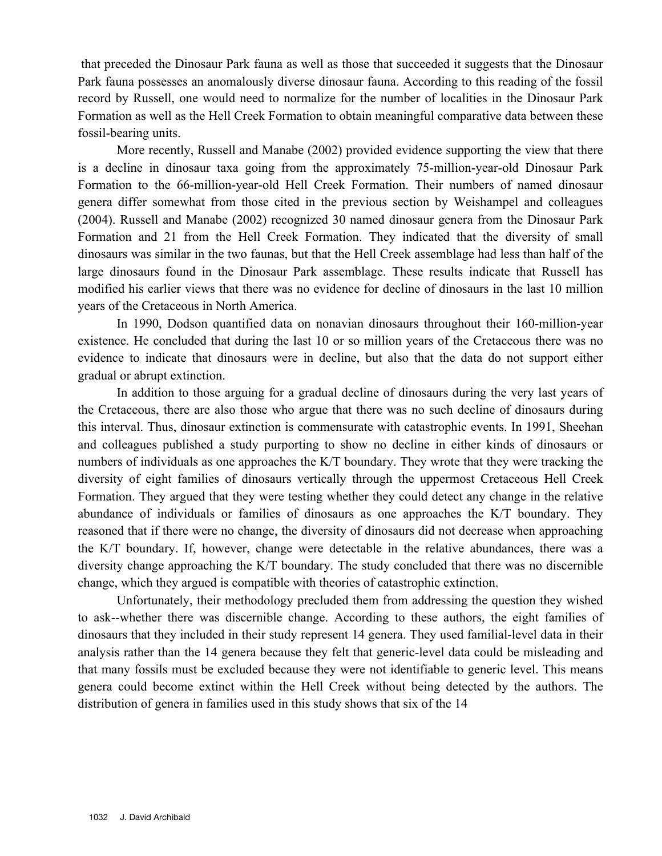that preceded the Dinosaur Park fauna as well as those that succeeded it suggests that the Dinosaur Park fauna possesses an anomalously diverse dinosaur fauna. According to this reading of the fossil record by Russell, one would need to normalize for the number of localities in the Dinosaur Park Formation as well as the Hell Creek Formation to obtain meaningful comparative data between these fossil-bearing units.

 More recently, Russell and Manabe (2002) provided evidence supporting the view that there is a decline in dinosaur taxa going from the approximately 75-million-year-old Dinosaur Park Formation to the 66-million-year-old Hell Creek Formation. Their numbers of named dinosaur genera differ somewhat from those cited in the previous section by Weishampel and colleagues (2004). Russell and Manabe (2002) recognized 30 named dinosaur genera from the Dinosaur Park Formation and 21 from the Hell Creek Formation. They indicated that the diversity of small dinosaurs was similar in the two faunas, but that the Hell Creek assemblage had less than half of the large dinosaurs found in the Dinosaur Park assemblage. These results indicate that Russell has modified his earlier views that there was no evidence for decline of dinosaurs in the last 10 million years of the Cretaceous in North America.

 In 1990, Dodson quantified data on nonavian dinosaurs throughout their 160-million-year existence. He concluded that during the last 10 or so million years of the Cretaceous there was no evidence to indicate that dinosaurs were in decline, but also that the data do not support either gradual or abrupt extinction.

 In addition to those arguing for a gradual decline of dinosaurs during the very last years of the Cretaceous, there are also those who argue that there was no such decline of dinosaurs during this interval. Thus, dinosaur extinction is commensurate with catastrophic events. In 1991, Sheehan and colleagues published a study purporting to show no decline in either kinds of dinosaurs or numbers of individuals as one approaches the K/T boundary. They wrote that they were tracking the diversity of eight families of dinosaurs vertically through the uppermost Cretaceous Hell Creek Formation. They argued that they were testing whether they could detect any change in the relative abundance of individuals or families of dinosaurs as one approaches the K/T boundary. They reasoned that if there were no change, the diversity of dinosaurs did not decrease when approaching the K/T boundary. If, however, change were detectable in the relative abundances, there was a diversity change approaching the K/T boundary. The study concluded that there was no discernible change, which they argued is compatible with theories of catastrophic extinction.

 Unfortunately, their methodology precluded them from addressing the question they wished to ask--whether there was discernible change. According to these authors, the eight families of dinosaurs that they included in their study represent 14 genera. They used familial-level data in their analysis rather than the 14 genera because they felt that generic-level data could be misleading and that many fossils must be excluded because they were not identifiable to generic level. This means genera could become extinct within the Hell Creek without being detected by the authors. The distribution of genera in families used in this study shows that six of the 14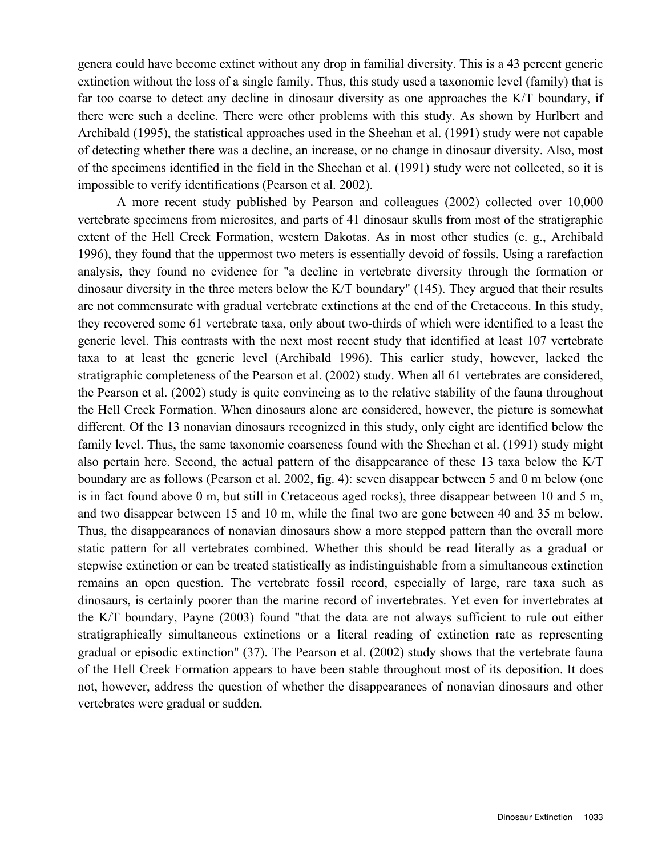genera could have become extinct without any drop in familial diversity. This is a 43 percent generic extinction without the loss of a single family. Thus, this study used a taxonomic level (family) that is far too coarse to detect any decline in dinosaur diversity as one approaches the K/T boundary, if there were such a decline. There were other problems with this study. As shown by Hurlbert and Archibald (1995), the statistical approaches used in the Sheehan et al. (1991) study were not capable of detecting whether there was a decline, an increase, or no change in dinosaur diversity. Also, most of the specimens identified in the field in the Sheehan et al. (1991) study were not collected, so it is impossible to verify identifications (Pearson et al. 2002).

 A more recent study published by Pearson and colleagues (2002) collected over 10,000 vertebrate specimens from microsites, and parts of 41 dinosaur skulls from most of the stratigraphic extent of the Hell Creek Formation, western Dakotas. As in most other studies (e. g., Archibald 1996), they found that the uppermost two meters is essentially devoid of fossils. Using a rarefaction analysis, they found no evidence for "a decline in vertebrate diversity through the formation or dinosaur diversity in the three meters below the K/T boundary" (145). They argued that their results are not commensurate with gradual vertebrate extinctions at the end of the Cretaceous. In this study, they recovered some 61 vertebrate taxa, only about two-thirds of which were identified to a least the generic level. This contrasts with the next most recent study that identified at least 107 vertebrate taxa to at least the generic level (Archibald 1996). This earlier study, however, lacked the stratigraphic completeness of the Pearson et al. (2002) study. When all 61 vertebrates are considered, the Pearson et al. (2002) study is quite convincing as to the relative stability of the fauna throughout the Hell Creek Formation. When dinosaurs alone are considered, however, the picture is somewhat different. Of the 13 nonavian dinosaurs recognized in this study, only eight are identified below the family level. Thus, the same taxonomic coarseness found with the Sheehan et al. (1991) study might also pertain here. Second, the actual pattern of the disappearance of these 13 taxa below the K/T boundary are as follows (Pearson et al. 2002, fig. 4): seven disappear between 5 and 0 m below (one is in fact found above 0 m, but still in Cretaceous aged rocks), three disappear between 10 and 5 m, and two disappear between 15 and 10 m, while the final two are gone between 40 and 35 m below. Thus, the disappearances of nonavian dinosaurs show a more stepped pattern than the overall more static pattern for all vertebrates combined. Whether this should be read literally as a gradual or stepwise extinction or can be treated statistically as indistinguishable from a simultaneous extinction remains an open question. The vertebrate fossil record, especially of large, rare taxa such as dinosaurs, is certainly poorer than the marine record of invertebrates. Yet even for invertebrates at the K/T boundary, Payne (2003) found "that the data are not always sufficient to rule out either stratigraphically simultaneous extinctions or a literal reading of extinction rate as representing gradual or episodic extinction" (37). The Pearson et al. (2002) study shows that the vertebrate fauna of the Hell Creek Formation appears to have been stable throughout most of its deposition. It does not, however, address the question of whether the disappearances of nonavian dinosaurs and other vertebrates were gradual or sudden.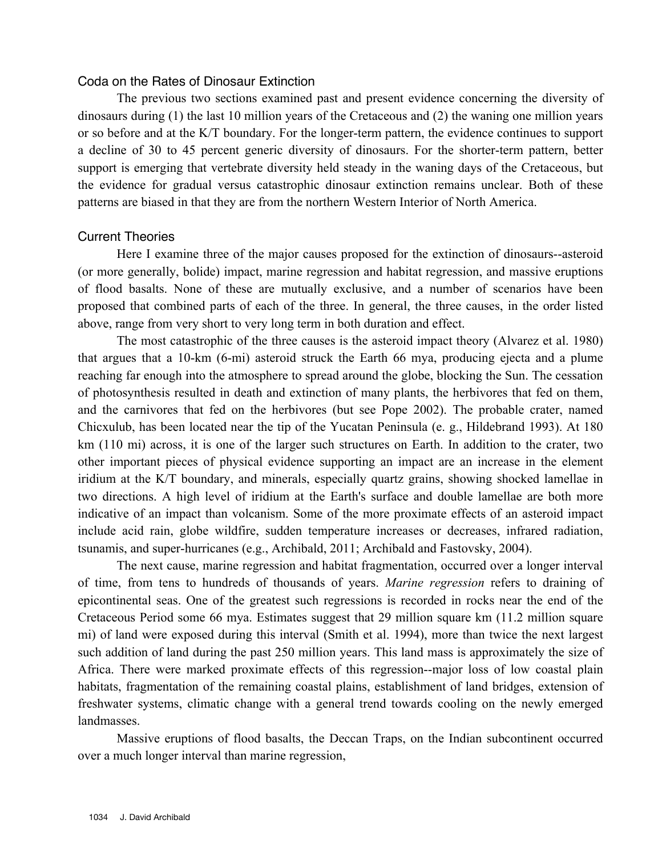### Coda on the Rates of Dinosaur Extinction

 The previous two sections examined past and present evidence concerning the diversity of dinosaurs during (1) the last 10 million years of the Cretaceous and (2) the waning one million years or so before and at the K/T boundary. For the longer-term pattern, the evidence continues to support a decline of 30 to 45 percent generic diversity of dinosaurs. For the shorter-term pattern, better support is emerging that vertebrate diversity held steady in the waning days of the Cretaceous, but the evidence for gradual versus catastrophic dinosaur extinction remains unclear. Both of these patterns are biased in that they are from the northern Western Interior of North America.

# Current Theories

 Here I examine three of the major causes proposed for the extinction of dinosaurs--asteroid (or more generally, bolide) impact, marine regression and habitat regression, and massive eruptions of flood basalts. None of these are mutually exclusive, and a number of scenarios have been proposed that combined parts of each of the three. In general, the three causes, in the order listed above, range from very short to very long term in both duration and effect.

 The most catastrophic of the three causes is the asteroid impact theory (Alvarez et al. 1980) that argues that a 10-km (6-mi) asteroid struck the Earth 66 mya, producing ejecta and a plume reaching far enough into the atmosphere to spread around the globe, blocking the Sun. The cessation of photosynthesis resulted in death and extinction of many plants, the herbivores that fed on them, and the carnivores that fed on the herbivores (but see Pope 2002). The probable crater, named Chicxulub, has been located near the tip of the Yucatan Peninsula (e. g., Hildebrand 1993). At 180 km (110 mi) across, it is one of the larger such structures on Earth. In addition to the crater, two other important pieces of physical evidence supporting an impact are an increase in the element iridium at the K/T boundary, and minerals, especially quartz grains, showing shocked lamellae in two directions. A high level of iridium at the Earth's surface and double lamellae are both more indicative of an impact than volcanism. Some of the more proximate effects of an asteroid impact include acid rain, globe wildfire, sudden temperature increases or decreases, infrared radiation, tsunamis, and super-hurricanes (e.g., Archibald, 2011; Archibald and Fastovsky, 2004).

 The next cause, marine regression and habitat fragmentation, occurred over a longer interval of time, from tens to hundreds of thousands of years. *Marine regression* refers to draining of epicontinental seas. One of the greatest such regressions is recorded in rocks near the end of the Cretaceous Period some 66 mya. Estimates suggest that 29 million square km (11.2 million square mi) of land were exposed during this interval (Smith et al. 1994), more than twice the next largest such addition of land during the past 250 million years. This land mass is approximately the size of Africa. There were marked proximate effects of this regression--major loss of low coastal plain habitats, fragmentation of the remaining coastal plains, establishment of land bridges, extension of freshwater systems, climatic change with a general trend towards cooling on the newly emerged landmasses.

 Massive eruptions of flood basalts, the Deccan Traps, on the Indian subcontinent occurred over a much longer interval than marine regression,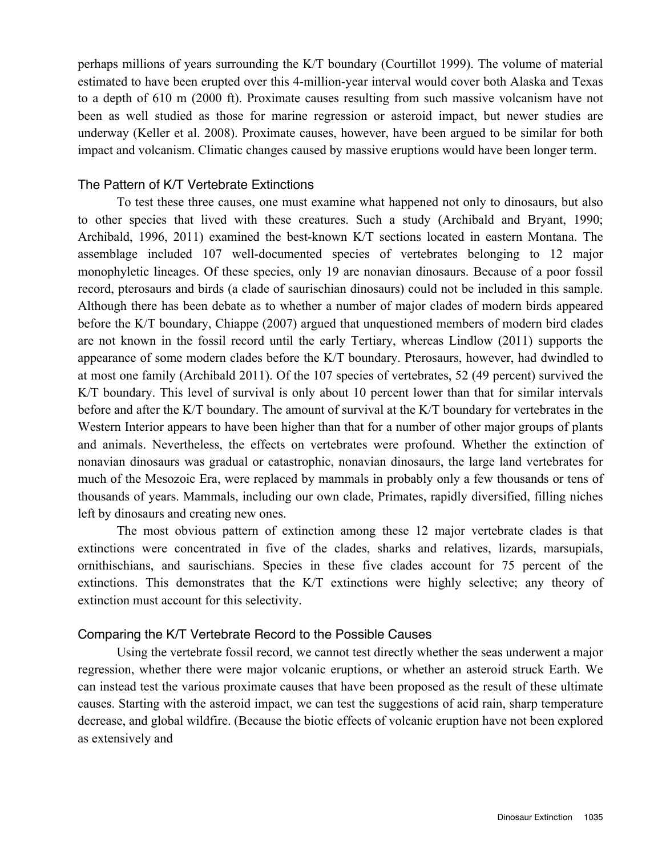perhaps millions of years surrounding the K/T boundary (Courtillot 1999). The volume of material estimated to have been erupted over this 4-million-year interval would cover both Alaska and Texas to a depth of 610 m (2000 ft). Proximate causes resulting from such massive volcanism have not been as well studied as those for marine regression or asteroid impact, but newer studies are underway (Keller et al. 2008). Proximate causes, however, have been argued to be similar for both impact and volcanism. Climatic changes caused by massive eruptions would have been longer term.

# The Pattern of K/T Vertebrate Extinctions

 To test these three causes, one must examine what happened not only to dinosaurs, but also to other species that lived with these creatures. Such a study (Archibald and Bryant, 1990; Archibald, 1996, 2011) examined the best-known K/T sections located in eastern Montana. The assemblage included 107 well-documented species of vertebrates belonging to 12 major monophyletic lineages. Of these species, only 19 are nonavian dinosaurs. Because of a poor fossil record, pterosaurs and birds (a clade of saurischian dinosaurs) could not be included in this sample. Although there has been debate as to whether a number of major clades of modern birds appeared before the K/T boundary, Chiappe (2007) argued that unquestioned members of modern bird clades are not known in the fossil record until the early Tertiary, whereas Lindlow (2011) supports the appearance of some modern clades before the K/T boundary. Pterosaurs, however, had dwindled to at most one family (Archibald 2011). Of the 107 species of vertebrates, 52 (49 percent) survived the K/T boundary. This level of survival is only about 10 percent lower than that for similar intervals before and after the K/T boundary. The amount of survival at the K/T boundary for vertebrates in the Western Interior appears to have been higher than that for a number of other major groups of plants and animals. Nevertheless, the effects on vertebrates were profound. Whether the extinction of nonavian dinosaurs was gradual or catastrophic, nonavian dinosaurs, the large land vertebrates for much of the Mesozoic Era, were replaced by mammals in probably only a few thousands or tens of thousands of years. Mammals, including our own clade, Primates, rapidly diversified, filling niches left by dinosaurs and creating new ones.

 The most obvious pattern of extinction among these 12 major vertebrate clades is that extinctions were concentrated in five of the clades, sharks and relatives, lizards, marsupials, ornithischians, and saurischians. Species in these five clades account for 75 percent of the extinctions. This demonstrates that the K/T extinctions were highly selective; any theory of extinction must account for this selectivity.

# Comparing the K/T Vertebrate Record to the Possible Causes

 Using the vertebrate fossil record, we cannot test directly whether the seas underwent a major regression, whether there were major volcanic eruptions, or whether an asteroid struck Earth. We can instead test the various proximate causes that have been proposed as the result of these ultimate causes. Starting with the asteroid impact, we can test the suggestions of acid rain, sharp temperature decrease, and global wildfire. (Because the biotic effects of volcanic eruption have not been explored as extensively and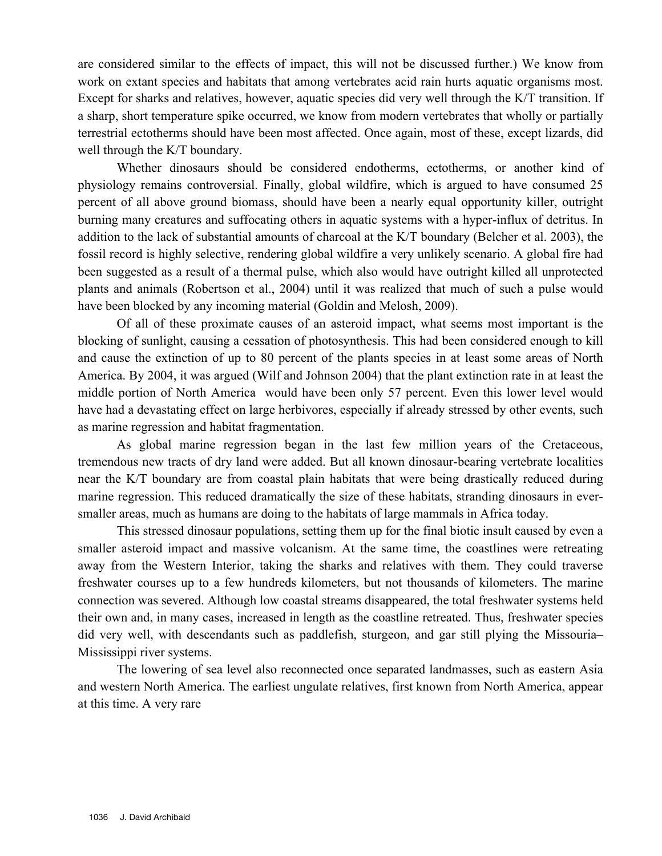are considered similar to the effects of impact, this will not be discussed further.) We know from work on extant species and habitats that among vertebrates acid rain hurts aquatic organisms most. Except for sharks and relatives, however, aquatic species did very well through the K/T transition. If a sharp, short temperature spike occurred, we know from modern vertebrates that wholly or partially terrestrial ectotherms should have been most affected. Once again, most of these, except lizards, did well through the K/T boundary.

 Whether dinosaurs should be considered endotherms, ectotherms, or another kind of physiology remains controversial. Finally, global wildfire, which is argued to have consumed 25 percent of all above ground biomass, should have been a nearly equal opportunity killer, outright burning many creatures and suffocating others in aquatic systems with a hyper-influx of detritus. In addition to the lack of substantial amounts of charcoal at the K/T boundary (Belcher et al. 2003), the fossil record is highly selective, rendering global wildfire a very unlikely scenario. A global fire had been suggested as a result of a thermal pulse, which also would have outright killed all unprotected plants and animals (Robertson et al., 2004) until it was realized that much of such a pulse would have been blocked by any incoming material (Goldin and Melosh, 2009).

 Of all of these proximate causes of an asteroid impact, what seems most important is the blocking of sunlight, causing a cessation of photosynthesis. This had been considered enough to kill and cause the extinction of up to 80 percent of the plants species in at least some areas of North America. By 2004, it was argued (Wilf and Johnson 2004) that the plant extinction rate in at least the middle portion of North America would have been only 57 percent. Even this lower level would have had a devastating effect on large herbivores, especially if already stressed by other events, such as marine regression and habitat fragmentation.

 As global marine regression began in the last few million years of the Cretaceous, tremendous new tracts of dry land were added. But all known dinosaur-bearing vertebrate localities near the K/T boundary are from coastal plain habitats that were being drastically reduced during marine regression. This reduced dramatically the size of these habitats, stranding dinosaurs in eversmaller areas, much as humans are doing to the habitats of large mammals in Africa today.

 This stressed dinosaur populations, setting them up for the final biotic insult caused by even a smaller asteroid impact and massive volcanism. At the same time, the coastlines were retreating away from the Western Interior, taking the sharks and relatives with them. They could traverse freshwater courses up to a few hundreds kilometers, but not thousands of kilometers. The marine connection was severed. Although low coastal streams disappeared, the total freshwater systems held their own and, in many cases, increased in length as the coastline retreated. Thus, freshwater species did very well, with descendants such as paddlefish, sturgeon, and gar still plying the Missouria– Mississippi river systems.

 The lowering of sea level also reconnected once separated landmasses, such as eastern Asia and western North America. The earliest ungulate relatives, first known from North America, appear at this time. A very rare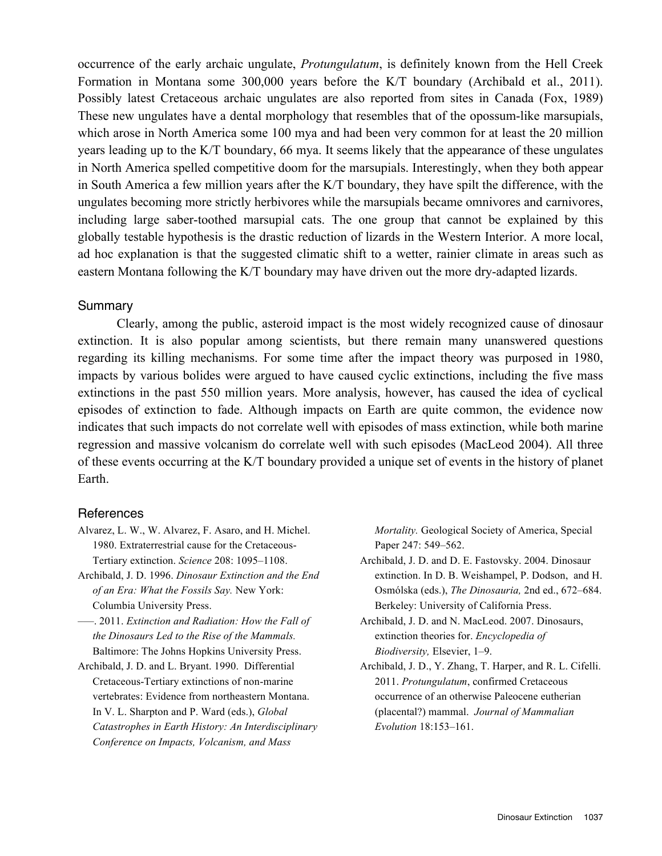occurrence of the early archaic ungulate, *Protungulatum*, is definitely known from the Hell Creek Formation in Montana some 300,000 years before the K/T boundary (Archibald et al., 2011). Possibly latest Cretaceous archaic ungulates are also reported from sites in Canada (Fox, 1989) These new ungulates have a dental morphology that resembles that of the opossum-like marsupials, which arose in North America some 100 mya and had been very common for at least the 20 million years leading up to the K/T boundary, 66 mya. It seems likely that the appearance of these ungulates in North America spelled competitive doom for the marsupials. Interestingly, when they both appear in South America a few million years after the K/T boundary, they have spilt the difference, with the ungulates becoming more strictly herbivores while the marsupials became omnivores and carnivores, including large saber-toothed marsupial cats. The one group that cannot be explained by this globally testable hypothesis is the drastic reduction of lizards in the Western Interior. A more local, ad hoc explanation is that the suggested climatic shift to a wetter, rainier climate in areas such as eastern Montana following the K/T boundary may have driven out the more dry-adapted lizards.

## **Summary**

 Clearly, among the public, asteroid impact is the most widely recognized cause of dinosaur extinction. It is also popular among scientists, but there remain many unanswered questions regarding its killing mechanisms. For some time after the impact theory was purposed in 1980, impacts by various bolides were argued to have caused cyclic extinctions, including the five mass extinctions in the past 550 million years. More analysis, however, has caused the idea of cyclical episodes of extinction to fade. Although impacts on Earth are quite common, the evidence now indicates that such impacts do not correlate well with episodes of mass extinction, while both marine regression and massive volcanism do correlate well with such episodes (MacLeod 2004). All three of these events occurring at the K/T boundary provided a unique set of events in the history of planet Earth.

# References

- Alvarez, L. W., W. Alvarez, F. Asaro, and H. Michel. 1980. Extraterrestrial cause for the Cretaceous-Tertiary extinction. *Science* 208: 1095–1108.
- Archibald, J. D. 1996. *Dinosaur Extinction and the End of an Era: What the Fossils Say.* New York: Columbia University Press.
- –––. 2011. *Extinction and Radiation: How the Fall of the Dinosaurs Led to the Rise of the Mammals.* Baltimore: The Johns Hopkins University Press.
- Archibald, J. D. and L. Bryant. 1990. Differential Cretaceous-Tertiary extinctions of non-marine vertebrates: Evidence from northeastern Montana. In V. L. Sharpton and P. Ward (eds.), *Global Catastrophes in Earth History: An Interdisciplinary Conference on Impacts, Volcanism, and Mass*

*Mortality.* Geological Society of America, Special Paper 247: 549–562.

- Archibald, J. D. and D. E. Fastovsky. 2004. Dinosaur extinction. In D. B. Weishampel, P. Dodson, and H. Osmólska (eds.), *The Dinosauria,* 2nd ed., 672–684. Berkeley: University of California Press.
- Archibald, J. D. and N. MacLeod. 2007. Dinosaurs, extinction theories for. *Encyclopedia of Biodiversity,* Elsevier, 1–9.
- Archibald, J. D., Y. Zhang, T. Harper, and R. L. Cifelli. 2011. *Protungulatum*, confirmed Cretaceous occurrence of an otherwise Paleocene eutherian (placental?) mammal. *Journal of Mammalian Evolution* 18:153–161.